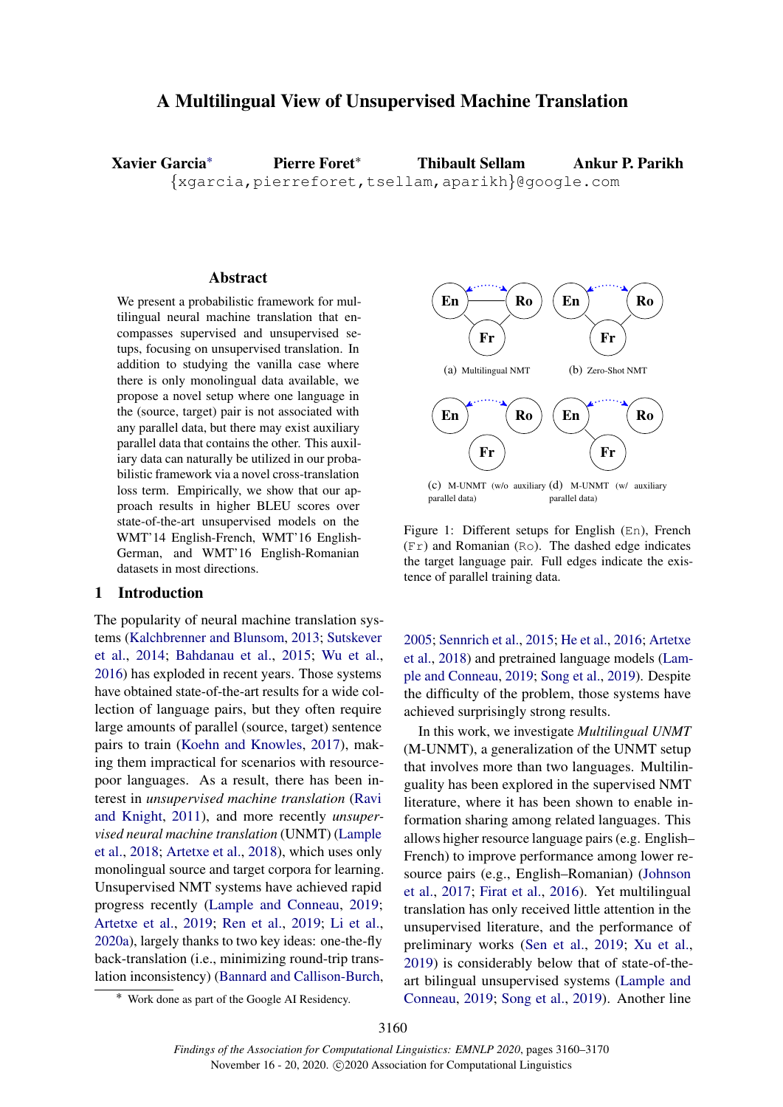# <span id="page-0-3"></span>A Multilingual View of Unsupervised Machine Translation

Xavier Garcia˚ {xgarcia,pierreforet,tsellam,aparikh}@google.com Pierre Foret˚ Thibault Sellam Ankur P. Parikh

#### **Abstract**

We present a probabilistic framework for multilingual neural machine translation that encompasses supervised and unsupervised setups, focusing on unsupervised translation. In addition to studying the vanilla case where there is only monolingual data available, we propose a novel setup where one language in the (source, target) pair is not associated with any parallel data, but there may exist auxiliary parallel data that contains the other. This auxiliary data can naturally be utilized in our probabilistic framework via a novel cross-translation loss term. Empirically, we show that our approach results in higher BLEU scores over state-of-the-art unsupervised models on the WMT'14 English-French, WMT'16 English-German, and WMT'16 English-Romanian datasets in most directions.

#### 1 Introduction

The popularity of neural machine translation systems [\(Kalchbrenner and Blunsom,](#page-9-0) [2013;](#page-9-0) [Sutskever](#page-10-0) [et al.,](#page-10-0) [2014;](#page-10-0) [Bahdanau et al.,](#page-8-0) [2015;](#page-8-0) [Wu et al.,](#page-10-1) [2016\)](#page-10-1) has exploded in recent years. Those systems have obtained state-of-the-art results for a wide collection of language pairs, but they often require large amounts of parallel (source, target) sentence pairs to train [\(Koehn and Knowles,](#page-9-1) [2017\)](#page-9-1), making them impractical for scenarios with resourcepoor languages. As a result, there has been interest in *unsupervised machine translation* [\(Ravi](#page-9-2) [and Knight,](#page-9-2) [2011\)](#page-9-2), and more recently *unsupervised neural machine translation* (UNMT) [\(Lample](#page-9-3) [et al.,](#page-9-3) [2018;](#page-9-3) [Artetxe et al.,](#page-8-1) [2018\)](#page-8-1), which uses only monolingual source and target corpora for learning. Unsupervised NMT systems have achieved rapid progress recently [\(Lample and Conneau,](#page-9-4) [2019;](#page-9-4) [Artetxe et al.,](#page-8-2) [2019;](#page-8-2) [Ren et al.,](#page-9-5) [2019;](#page-9-5) [Li et al.,](#page-9-6) [2020a\)](#page-9-6), largely thanks to two key ideas: one-the-fly back-translation (i.e., minimizing round-trip translation inconsistency) [\(Bannard and Callison-Burch,](#page-8-3)

<span id="page-0-1"></span><span id="page-0-0"></span>

<span id="page-0-2"></span>Figure 1: Different setups for English (En), French  $(Fr)$  and Romanian (Ro). The dashed edge indicates the target language pair. Full edges indicate the existence of parallel training data.

[2005;](#page-8-3) [Sennrich et al.,](#page-10-2) [2015;](#page-10-2) [He et al.,](#page-9-7) [2016;](#page-9-7) [Artetxe](#page-8-1) [et al.,](#page-8-1) [2018\)](#page-8-1) and pretrained language models [\(Lam](#page-9-4)[ple and Conneau,](#page-9-4) [2019;](#page-9-4) [Song et al.,](#page-10-3) [2019\)](#page-10-3). Despite the difficulty of the problem, those systems have achieved surprisingly strong results.

In this work, we investigate *Multilingual UNMT* (M-UNMT), a generalization of the UNMT setup that involves more than two languages. Multilinguality has been explored in the supervised NMT literature, where it has been shown to enable information sharing among related languages. This allows higher resource language pairs (e.g. English– French) to improve performance among lower resource pairs (e.g., English–Romanian) [\(Johnson](#page-9-8) [et al.,](#page-9-8) [2017;](#page-9-8) [Firat et al.,](#page-9-9) [2016\)](#page-9-9). Yet multilingual translation has only received little attention in the unsupervised literature, and the performance of preliminary works [\(Sen et al.,](#page-10-4) [2019;](#page-10-4) [Xu et al.,](#page-10-5) [2019\)](#page-10-5) is considerably below that of state-of-theart bilingual unsupervised systems [\(Lample and](#page-9-4) [Conneau,](#page-9-4) [2019;](#page-9-4) [Song et al.,](#page-10-3) [2019\)](#page-10-3). Another line

<sup>˚</sup> Work done as part of the Google AI Residency.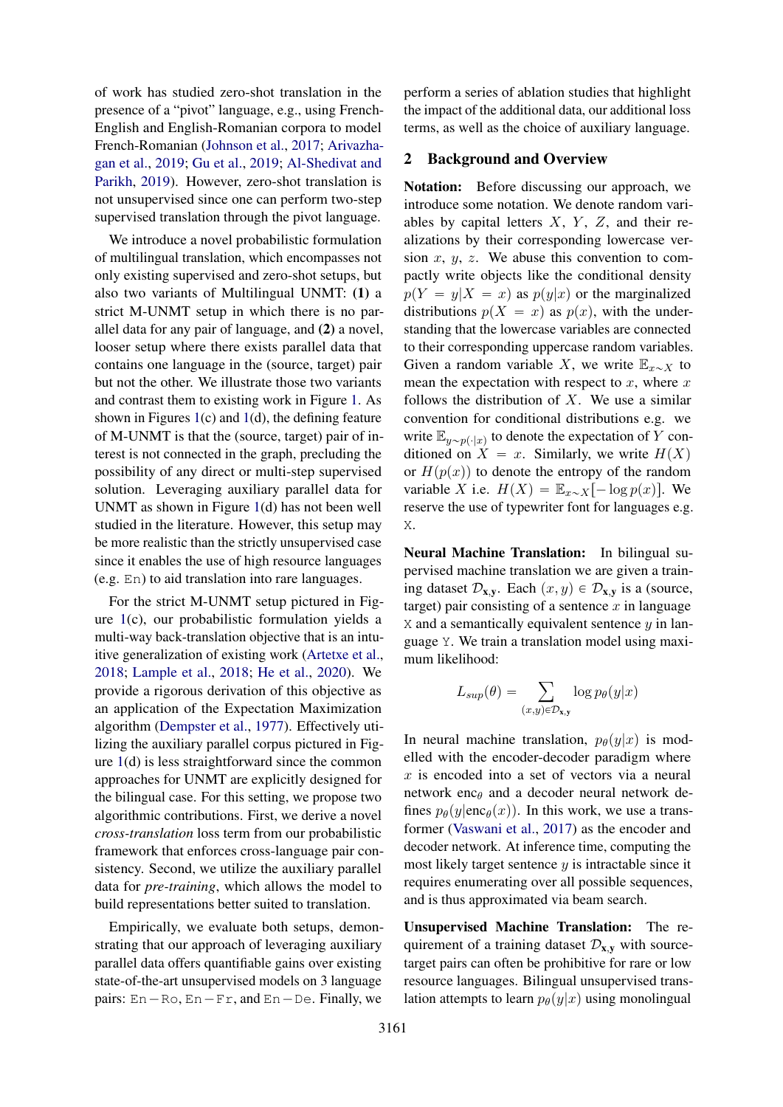of work has studied zero-shot translation in the presence of a "pivot" language, e.g., using French-English and English-Romanian corpora to model French-Romanian [\(Johnson et al.,](#page-9-8) [2017;](#page-9-8) [Arivazha](#page-8-4)[gan et al.,](#page-8-4) [2019;](#page-8-4) [Gu et al.,](#page-9-10) [2019;](#page-9-10) [Al-Shedivat and](#page-8-5) [Parikh,](#page-8-5) [2019\)](#page-8-5). However, zero-shot translation is not unsupervised since one can perform two-step supervised translation through the pivot language.

We introduce a novel probabilistic formulation of multilingual translation, which encompasses not only existing supervised and zero-shot setups, but also two variants of Multilingual UNMT: (1) a strict M-UNMT setup in which there is no parallel data for any pair of language, and (2) a novel, looser setup where there exists parallel data that contains one language in the (source, target) pair but not the other. We illustrate those two variants and contrast them to existing work in Figure [1.](#page-0-0) As shown in Figures  $1(c)$  $1(c)$  and  $1(d)$ , the defining feature of M-UNMT is that the (source, target) pair of interest is not connected in the graph, precluding the possibility of any direct or multi-step supervised solution. Leveraging auxiliary parallel data for UNMT as shown in Figure [1\(](#page-0-0)d) has not been well studied in the literature. However, this setup may be more realistic than the strictly unsupervised case since it enables the use of high resource languages (e.g. En) to aid translation into rare languages.

For the strict M-UNMT setup pictured in Figure [1\(](#page-0-0)c), our probabilistic formulation yields a multi-way back-translation objective that is an intuitive generalization of existing work [\(Artetxe et al.,](#page-8-1) [2018;](#page-8-1) [Lample et al.,](#page-9-3) [2018;](#page-9-3) [He et al.,](#page-9-11) [2020\)](#page-9-11). We provide a rigorous derivation of this objective as an application of the Expectation Maximization algorithm [\(Dempster et al.,](#page-9-12) [1977\)](#page-9-12). Effectively utilizing the auxiliary parallel corpus pictured in Figure [1\(](#page-0-0)d) is less straightforward since the common approaches for UNMT are explicitly designed for the bilingual case. For this setting, we propose two algorithmic contributions. First, we derive a novel *cross-translation* loss term from our probabilistic framework that enforces cross-language pair consistency. Second, we utilize the auxiliary parallel data for *pre-training*, which allows the model to build representations better suited to translation.

Empirically, we evaluate both setups, demonstrating that our approach of leveraging auxiliary parallel data offers quantifiable gains over existing state-of-the-art unsupervised models on 3 language pairs:  $En - Ro$ ,  $En - Fr$ , and  $En - De$ . Finally, we

perform a series of ablation studies that highlight the impact of the additional data, our additional loss terms, as well as the choice of auxiliary language.

#### 2 Background and Overview

Notation: Before discussing our approach, we introduce some notation. We denote random variables by capital letters  $X$ ,  $Y$ ,  $Z$ , and their realizations by their corresponding lowercase version  $x, y, z$ . We abuse this convention to compactly write objects like the conditional density  $p(Y = y|X = x)$  as  $p(y|x)$  or the marginalized distributions  $p(X = x)$  as  $p(x)$ , with the understanding that the lowercase variables are connected to their corresponding uppercase random variables. Given a random variable X, we write  $\mathbb{E}_{x\sim X}$  to mean the expectation with respect to  $x$ , where  $x$ follows the distribution of  $X$ . We use a similar convention for conditional distributions e.g. we write  $\mathbb{E}_{y \sim p(\cdot | x)}$  to denote the expectation of Y conditioned on  $X = x$ . Similarly, we write  $H(X)$ or  $H(p(x))$  to denote the entropy of the random variable X i.e.  $H(X) = \mathbb{E}_{x \sim X}[-\log p(x)]$ . We reserve the use of typewriter font for languages e.g. X.

Neural Machine Translation: In bilingual supervised machine translation we are given a training dataset  $\mathcal{D}_{\mathbf{x}, \mathbf{y}}$ . Each  $(x, y) \in \mathcal{D}_{\mathbf{x}, \mathbf{y}}$  is a (source, target) pair consisting of a sentence  $x$  in language  $X$  and a semantically equivalent sentence  $y$  in language Y. We train a translation model using maximum likelihood:

$$
L_{sup}(\theta) = \sum_{(x,y)\in \mathcal{D}_{\mathbf{x},\mathbf{y}}} \log p_{\theta}(y|x)
$$

In neural machine translation,  $p_{\theta}(y|x)$  is modelled with the encoder-decoder paradigm where  $x$  is encoded into a set of vectors via a neural network enc $\theta$  and a decoder neural network defines  $p_{\theta}(y|enc_{\theta}(x))$ . In this work, we use a transformer [\(Vaswani et al.,](#page-10-6) [2017\)](#page-10-6) as the encoder and decoder network. At inference time, computing the most likely target sentence  $y$  is intractable since it requires enumerating over all possible sequences, and is thus approximated via beam search.

Unsupervised Machine Translation: The requirement of a training dataset  $\mathcal{D}_{x,y}$  with sourcetarget pairs can often be prohibitive for rare or low resource languages. Bilingual unsupervised translation attempts to learn  $p_{\theta}(y|x)$  using monolingual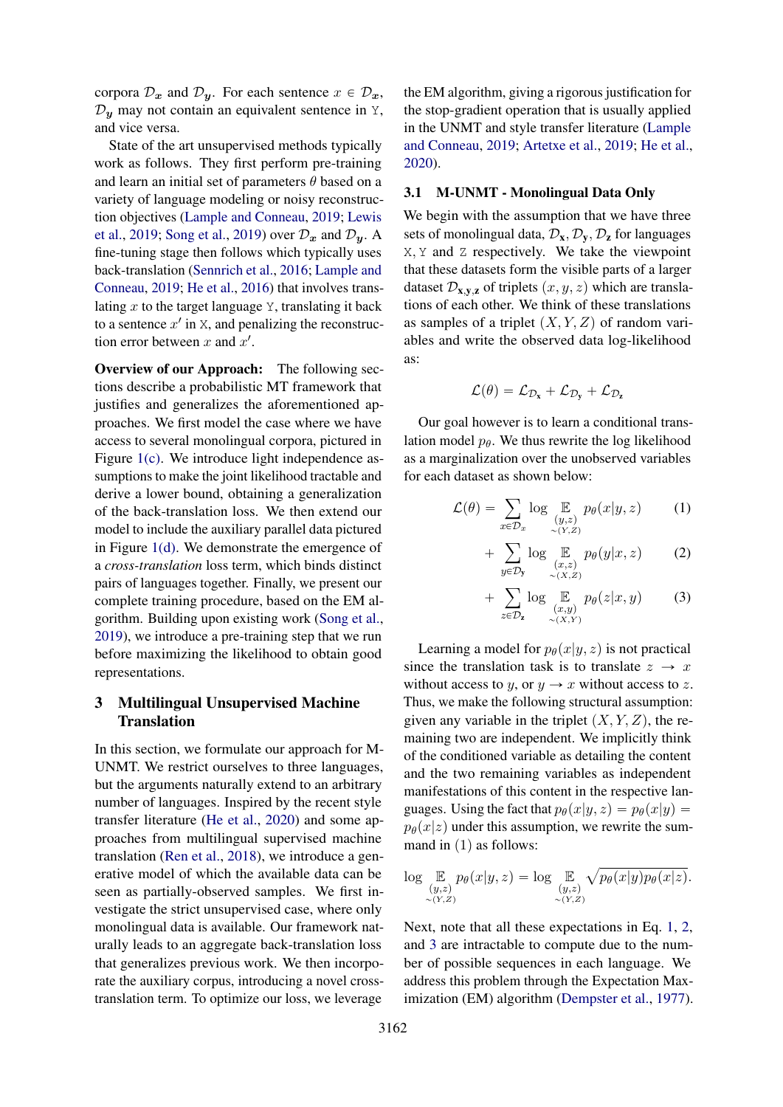corpora  $\mathcal{D}_x$  and  $\mathcal{D}_y$ . For each sentence  $x \in \mathcal{D}_x$ ,  $\mathcal{D}_{y}$  may not contain an equivalent sentence in Y, and vice versa.

State of the art unsupervised methods typically work as follows. They first perform pre-training and learn an initial set of parameters  $\theta$  based on a variety of language modeling or noisy reconstruction objectives [\(Lample and Conneau,](#page-9-4) [2019;](#page-9-4) [Lewis](#page-9-13) [et al.,](#page-9-13) [2019;](#page-9-13) [Song et al.,](#page-10-3) [2019\)](#page-10-3) over  $\mathcal{D}_x$  and  $\mathcal{D}_y$ . A fine-tuning stage then follows which typically uses back-translation [\(Sennrich et al.,](#page-10-7) [2016;](#page-10-7) [Lample and](#page-9-4) [Conneau,](#page-9-4) [2019;](#page-9-4) [He et al.,](#page-9-7) [2016\)](#page-9-7) that involves translating  $x$  to the target language  $Y$ , translating it back to a sentence  $x'$  in X, and penalizing the reconstruction error between  $x$  and  $x'$ .

Overview of our Approach: The following sections describe a probabilistic MT framework that justifies and generalizes the aforementioned approaches. We first model the case where we have access to several monolingual corpora, pictured in Figure [1\(c\).](#page-0-1) We introduce light independence assumptions to make the joint likelihood tractable and derive a lower bound, obtaining a generalization of the back-translation loss. We then extend our model to include the auxiliary parallel data pictured in Figure [1\(d\).](#page-0-2) We demonstrate the emergence of a *cross-translation* loss term, which binds distinct pairs of languages together. Finally, we present our complete training procedure, based on the EM algorithm. Building upon existing work [\(Song et al.,](#page-10-3) [2019\)](#page-10-3), we introduce a pre-training step that we run before maximizing the likelihood to obtain good representations.

# <span id="page-2-4"></span>3 Multilingual Unsupervised Machine **Translation**

In this section, we formulate our approach for M-UNMT. We restrict ourselves to three languages, but the arguments naturally extend to an arbitrary number of languages. Inspired by the recent style transfer literature [\(He et al.,](#page-9-11) [2020\)](#page-9-11) and some approaches from multilingual supervised machine translation [\(Ren et al.,](#page-9-14) [2018\)](#page-9-14), we introduce a generative model of which the available data can be seen as partially-observed samples. We first investigate the strict unsupervised case, where only monolingual data is available. Our framework naturally leads to an aggregate back-translation loss that generalizes previous work. We then incorporate the auxiliary corpus, introducing a novel crosstranslation term. To optimize our loss, we leverage

the EM algorithm, giving a rigorous justification for the stop-gradient operation that is usually applied in the UNMT and style transfer literature [\(Lample](#page-9-4) [and Conneau,](#page-9-4) [2019;](#page-9-4) [Artetxe et al.,](#page-8-2) [2019;](#page-8-2) [He et al.,](#page-9-11) [2020\)](#page-9-11).

#### <span id="page-2-3"></span>3.1 M-UNMT - Monolingual Data Only

We begin with the assumption that we have three sets of monolingual data,  $\mathcal{D}_x$ ,  $\mathcal{D}_y$ ,  $\mathcal{D}_z$  for languages X, Y and Z respectively. We take the viewpoint that these datasets form the visible parts of a larger dataset  $\mathcal{D}_{\mathbf{x},\mathbf{y},\mathbf{z}}$  of triplets  $(x, y, z)$  which are translations of each other. We think of these translations as samples of a triplet  $(X, Y, Z)$  of random variables and write the observed data log-likelihood as:

$$
\mathcal{L}(\theta) = \mathcal{L}_{\mathcal{D}_x} + \mathcal{L}_{\mathcal{D}_y} + \mathcal{L}_{\mathcal{D}_z}
$$

Our goal however is to learn a conditional translation model  $p_{\theta}$ . We thus rewrite the log likelihood as a marginalization over the unobserved variables for each dataset as shown below:

$$
\mathcal{L}(\theta) = \sum_{x \in \mathcal{D}_x} \log \mathop{\mathbb{E}}_{\substack{(y,z) \\ \sim (Y,Z)}} p_{\theta}(x|y,z)
$$
 (1)

<span id="page-2-1"></span><span id="page-2-0"></span>
$$
+\sum_{y\in\mathcal{D}_y}\log\mathop{\mathbb{E}}_{\substack{(x,z)\\ \sim (X,Z)}}p_\theta(y|x,z) \qquad (2)
$$

<span id="page-2-2"></span>
$$
+\sum_{z\in\mathcal{D}_{\mathbf{z}}} \log \mathop{\mathbb{E}}_{\substack{(x,y)\\ \sim (X,Y)}} p_{\theta}(z|x,y) \tag{3}
$$

Learning a model for  $p_{\theta}(x|y, z)$  is not practical since the translation task is to translate  $z \rightarrow x$ without access to y, or  $y \to x$  without access to z. Thus, we make the following structural assumption: given any variable in the triplet  $(X, Y, Z)$ , the remaining two are independent. We implicitly think of the conditioned variable as detailing the content and the two remaining variables as independent manifestations of this content in the respective languages. Using the fact that  $p_\theta(x|y, z) = p_\theta(x|y)$  =  $p_{\theta}(x|z)$  under this assumption, we rewrite the summand in  $(1)$  as follows:

$$
\log \mathop{\mathbb{E}}_{\substack{(y,z)\\ \sim (Y,Z)}} p_{\theta}(x|y,z) = \log \mathop{\mathbb{E}}_{\substack{(y,z)\\ \sim (Y,Z)}} \sqrt{p_{\theta}(x|y)p_{\theta}(x|z)}.
$$

Next, note that all these expectations in Eq. [1,](#page-2-0) [2,](#page-2-1) and [3](#page-2-2) are intractable to compute due to the number of possible sequences in each language. We address this problem through the Expectation Maximization (EM) algorithm [\(Dempster et al.,](#page-9-12) [1977\)](#page-9-12).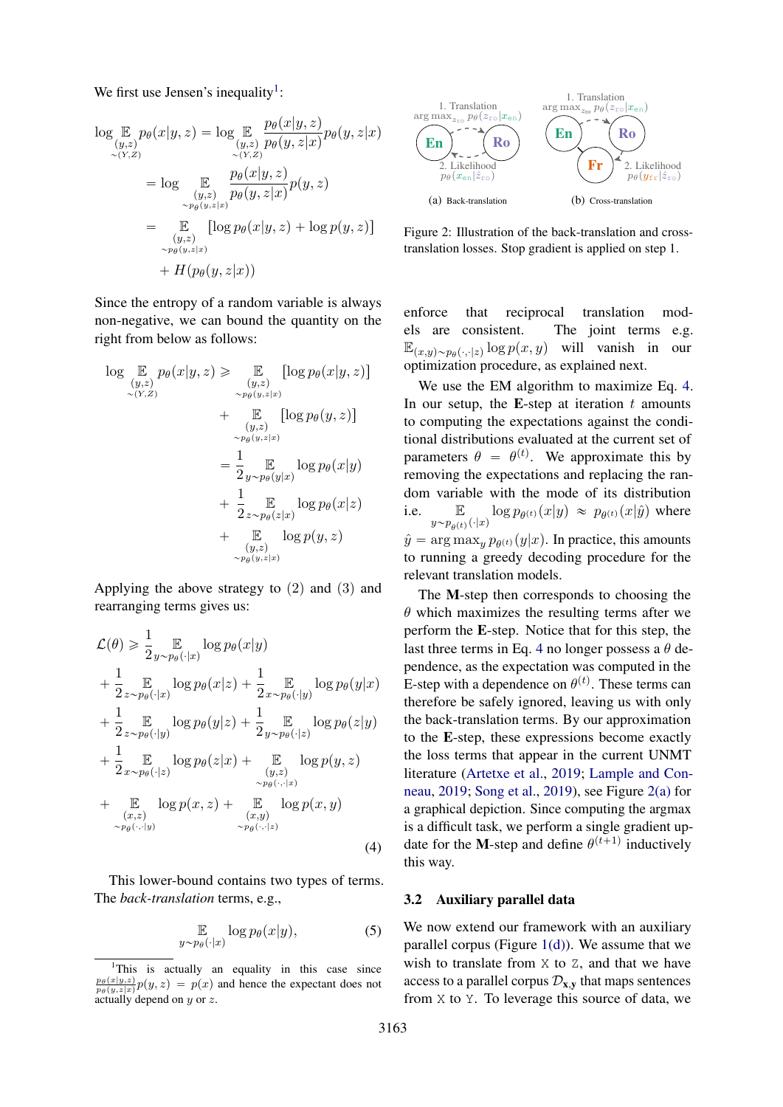We first use Jensen's inequality<sup>[1](#page-3-0)</sup>:

$$
\log \mathbb{E}_{(y,z)} p_{\theta}(x|y,z) = \log \mathbb{E}_{(y,z)} \frac{p_{\theta}(x|y,z)}{p_{\theta}(y,z|x)} p_{\theta}(y,z|x)
$$
  
\n
$$
= \log \mathbb{E}_{(y,z)} \frac{p_{\theta}(x|y,z)}{p_{\theta}(y,z|x)} p(y,z)
$$
  
\n
$$
= \mathbb{E}_{(y,z)} \left[ \log p_{\theta}(x|y,z) + \log p(y,z) \right]
$$
  
\n
$$
+ H(p_{\theta}(y,z|x))
$$

Since the entropy of a random variable is always non-negative, we can bound the quantity on the right from below as follows:

$$
\log \mathbb{E}_{\substack{(y,z) \\ \sim (Y,Z)}} p_{\theta}(x|y,z) \ge \mathbb{E}_{\substack{(y,z) \\ \sim p_{\theta}(y,z|x) \\ \sim p_{\theta}(y,z|x)}} [\log p_{\theta}(x|y,z)]
$$
  
+ 
$$
\mathbb{E}_{\substack{(y,z) \\ \sim p_{\theta}(y,z|x) \\ \sim p_{\theta}(y,z|x)}} [\log p_{\theta}(y,z)]
$$
  
= 
$$
\frac{1}{2} \mathbb{E}_{\substack{y \\ \sim p_{\theta}(y|x) \\ \sim p_{\theta}(z|x)}} \log p_{\theta}(x|y)
$$
  
+ 
$$
\frac{1}{2} \mathbb{E}_{\substack{z \\ \sim p_{\theta}(z|x) \\ \sim p_{\theta}(y,z|x)}} \log p(y,z)
$$

Applying the above strategy to  $(2)$  and  $(3)$  and rearranging terms gives us:

$$
\mathcal{L}(\theta) \geq \frac{1}{2} \mathop{\mathbb{E}}_{y \sim p_{\theta}(\cdot|x)} \log p_{\theta}(x|y) \n+ \frac{1}{2} \mathop{\mathbb{E}}_{z \sim p_{\theta}(\cdot|x)} \log p_{\theta}(x|z) + \frac{1}{2} \mathop{\mathbb{E}}_{x \sim p_{\theta}(\cdot|y)} \log p_{\theta}(y|x) \n+ \frac{1}{2} \mathop{\mathbb{E}}_{z \sim p_{\theta}(\cdot|y)} \log p_{\theta}(y|z) + \frac{1}{2} \mathop{\mathbb{E}}_{y \sim p_{\theta}(\cdot|z)} \log p_{\theta}(z|y) \n+ \frac{1}{2} \mathop{\mathbb{E}}_{x \sim p_{\theta}(\cdot|z)} \log p_{\theta}(z|x) + \mathop{\mathbb{E}}_{(y,z)} \log p(y,z) \n+ \mathop{\mathbb{E}}_{(x,z)} \log p(x,z) + \mathop{\mathbb{E}}_{(x,y)} \log p(x,y) \n+ \mathop{\mathbb{E}}_{(x,z)} \log p(x,z) + \mathop{\mathbb{E}}_{(x,y)} \log p(x,y) \n+ \mathop{\mathbb{E}}_{p_{\theta}(\cdot,|y)} \log p(x,z) + \mathop{\mathbb{E}}_{p_{\theta}(\cdot,|z)} \log p(x,y)
$$
\n(4)

This lower-bound contains two types of terms. The *back-translation* terms, e.g.,

<span id="page-3-3"></span>
$$
\mathbb{E}_{\substack{p_{\theta}(\cdot|x) \\ p_{\theta}(\cdot|x)}} \log p_{\theta}(x|y), \tag{5}
$$

 $y^{\prime}$ 

<span id="page-3-2"></span>

<span id="page-3-4"></span>Figure 2: Illustration of the back-translation and crosstranslation losses. Stop gradient is applied on step 1.

enforce that reciprocal translation models are consistent. The joint terms e.g.  $\mathbb{E}_{(x,y)\sim p_{\theta}(\cdot,\cdot|z)} \log p(x,y)$  will vanish in our optimization procedure, as explained next.

We use the EM algorithm to maximize Eq. [4.](#page-3-1) In our setup, the E-step at iteration  $t$  amounts to computing the expectations against the conditional distributions evaluated at the current set of parameters  $\theta = \theta^{(t)}$ . We approximate this by removing the expectations and replacing the random variable with the mode of its distribution i.e.  $\mathbb{E}_{y \sim p_{\theta^{(t)}}(\cdot | x)} \log p_{\theta^{(t)}}(x | y) \approx p_{\theta^{(t)}}(x | \hat{y})$  where  $\hat{y} = \arg \max_{y} p_{\theta^{(t)}}(y|x)$ . In practice, this amounts to running a greedy decoding procedure for the relevant translation models.

The M-step then corresponds to choosing the  $\theta$  which maximizes the resulting terms after we perform the E-step. Notice that for this step, the last three terms in Eq. [4](#page-3-1) no longer possess a  $\theta$  dependence, as the expectation was computed in the E-step with a dependence on  $\theta^{(t)}$ . These terms can therefore be safely ignored, leaving us with only the back-translation terms. By our approximation to the E-step, these expressions become exactly the loss terms that appear in the current UNMT literature [\(Artetxe et al.,](#page-8-2) [2019;](#page-8-2) [Lample and Con](#page-9-4)[neau,](#page-9-4) [2019;](#page-9-4) [Song et al.,](#page-10-3) [2019\)](#page-10-3), see Figure [2\(a\)](#page-3-2) for a graphical depiction. Since computing the argmax is a difficult task, we perform a single gradient update for the M-step and define  $\theta^{(t+1)}$  inductively this way.

#### <span id="page-3-1"></span>3.2 Auxiliary parallel data

We now extend our framework with an auxiliary parallel corpus (Figure  $1(d)$ ). We assume that we wish to translate from  $X$  to  $Z$ , and that we have access to a parallel corpus  $\mathcal{D}_{\mathbf{x},\mathbf{y}}$  that maps sentences from X to Y. To leverage this source of data, we

<span id="page-3-0"></span><sup>&</sup>lt;sup>1</sup>This is actually an equality in this case since  $\frac{p_{\theta}(x|y,z)}{p_{\theta}(y,z|x)}p(y,z) = p(x)$  and hence the expectant does not actually depend on  $y$  or  $z$ .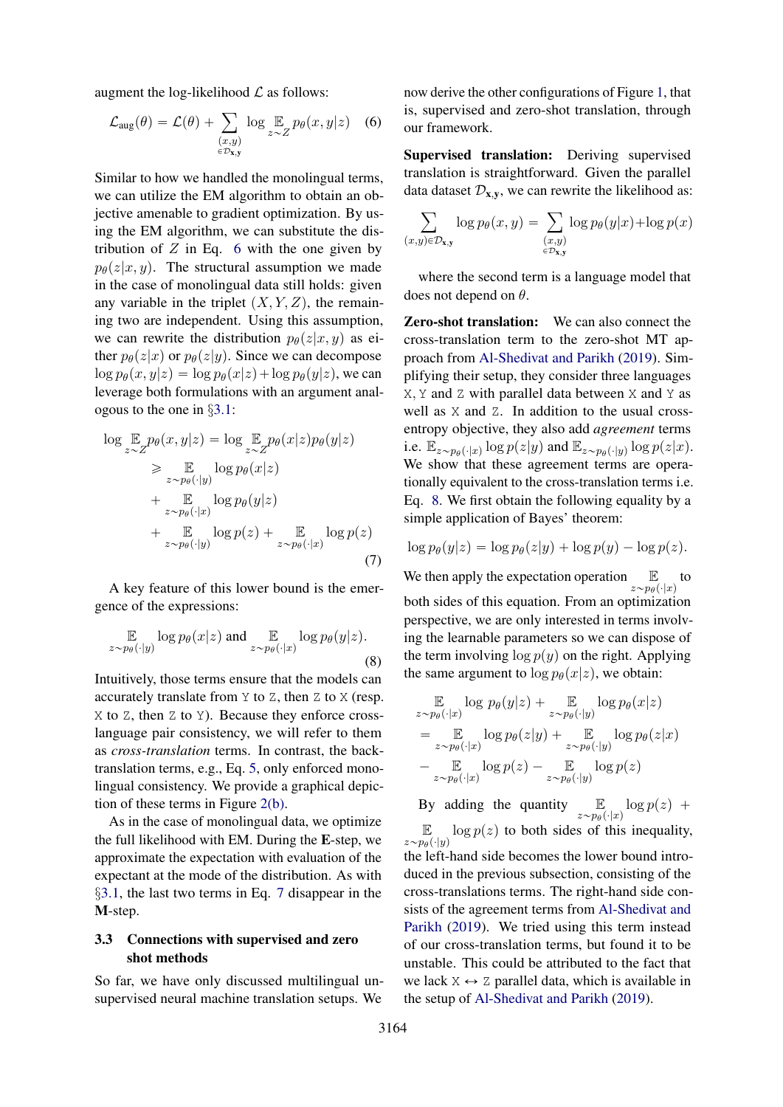augment the log-likelihood  $\mathcal L$  as follows:

$$
\mathcal{L}_{\text{aug}}(\theta) = \mathcal{L}(\theta) + \sum_{\substack{(x,y) \\ \in \mathcal{D}_{\mathbf{x},\mathbf{y}}}} \log \mathop{\mathbb{E}}_{z \sim Z} p_{\theta}(x, y | z) \quad (6)
$$

Similar to how we handled the monolingual terms, we can utilize the EM algorithm to obtain an objective amenable to gradient optimization. By using the EM algorithm, we can substitute the distribution of  $Z$  in Eq. [6](#page-4-0) with the one given by  $p_{\theta}(z|x, y)$ . The structural assumption we made in the case of monolingual data still holds: given any variable in the triplet  $(X, Y, Z)$ , the remaining two are independent. Using this assumption, we can rewrite the distribution  $p_{\theta}(z|x, y)$  as either  $p_{\theta}(z|x)$  or  $p_{\theta}(z|y)$ . Since we can decompose  $\log p_{\theta}(x, y|z) = \log p_{\theta}(x|z) + \log p_{\theta}(y|z)$ , we can leverage both formulations with an argument analogous to the one in §[3.1:](#page-2-3)

$$
\log \mathbb{E}_{z \sim Z} p_{\theta}(x, y|z) = \log \mathbb{E}_{z \sim Z} p_{\theta}(x|z) p_{\theta}(y|z)
$$
\n
$$
\geq \mathbb{E}_{z \sim p_{\theta}(\cdot|y)} \log p_{\theta}(x|z)
$$
\n
$$
+ \mathbb{E}_{z \sim p_{\theta}(\cdot|x)} \log p_{\theta}(y|z)
$$
\n
$$
+ \mathbb{E}_{z \sim p_{\theta}(\cdot|y)} \log p(z) + \mathbb{E}_{z \sim p_{\theta}(\cdot|x)} \log p(z)
$$
\n(7)

A key feature of this lower bound is the emergence of the expressions:

<span id="page-4-2"></span>
$$
\mathbb{E}_{z \sim p_{\theta}(\cdot | y)} \log p_{\theta}(x | z) \text{ and } \mathbb{E}_{z \sim p_{\theta}(\cdot | x)} \log p_{\theta}(y | z).
$$
\n(8)

Intuitively, those terms ensure that the models can accurately translate from Y to Z, then Z to X (resp. X to Z, then Z to Y). Because they enforce crosslanguage pair consistency, we will refer to them as *cross-translation* terms. In contrast, the backtranslation terms, e.g., Eq. [5,](#page-3-3) only enforced monolingual consistency. We provide a graphical depiction of these terms in Figure [2\(b\).](#page-3-4)

As in the case of monolingual data, we optimize the full likelihood with EM. During the E-step, we approximate the expectation with evaluation of the expectant at the mode of the distribution. As with §[3.1,](#page-2-3) the last two terms in Eq. [7](#page-4-1) disappear in the M-step.

## 3.3 Connections with supervised and zero shot methods

So far, we have only discussed multilingual unsupervised neural machine translation setups. We <span id="page-4-0"></span>now derive the other configurations of Figure [1,](#page-0-0) that is, supervised and zero-shot translation, through our framework.

Supervised translation: Deriving supervised translation is straightforward. Given the parallel data dataset  $\mathcal{D}_{x,y}$ , we can rewrite the likelihood as:

$$
\sum_{(x,y)\in\mathcal{D}_{\mathbf{x},\mathbf{y}}}\log p_{\theta}(x,y) = \sum_{\substack{(x,y)\\ \in\mathcal{D}_{\mathbf{x},\mathbf{y}}}}\log p_{\theta}(y|x) + \log p(x)
$$

where the second term is a language model that does not depend on  $\theta$ .

Zero-shot translation: We can also connect the cross-translation term to the zero-shot MT approach from [Al-Shedivat and Parikh](#page-8-5) [\(2019\)](#page-8-5). Simplifying their setup, they consider three languages X, Y and Z with parallel data between X and Y as well as  $X$  and  $Z$ . In addition to the usual crossentropy objective, they also add *agreement* terms i.e.  $\mathbb{E}_{z \sim p_{\theta}(\cdot | x)} \log p(z | y)$  and  $\mathbb{E}_{z \sim p_{\theta}(\cdot | y)} \log p(z | x)$ . We show that these agreement terms are operationally equivalent to the cross-translation terms i.e. Eq. [8.](#page-4-2) We first obtain the following equality by a simple application of Bayes' theorem:

<span id="page-4-1"></span>
$$
\log p_{\theta}(y|z) = \log p_{\theta}(z|y) + \log p(y) - \log p(z).
$$

We then apply the expectation operation  $\mathbb{E}$ <br> $z \sim p_{\theta}(\cdot | x)$ to both sides of this equation. From an optimization perspective, we are only interested in terms involving the learnable parameters so we can dispose of the term involving  $\log p(y)$  on the right. Applying the same argument to  $\log p_{\theta}(x|z)$ , we obtain:

$$
\mathbb{E} \log p_{\theta}(y|z) + \mathbb{E} \log p_{\theta}(x|z)
$$
\n
$$
= \mathbb{E} \log p_{\theta}(z|y) + \mathbb{E} \log p_{\theta}(z|x)
$$
\n
$$
= \mathbb{E} \log p_{\theta}(z|y) + \mathbb{E} \log p_{\theta}(z|x)
$$
\n
$$
- \mathbb{E} \log p_{\theta}(z) - \mathbb{E} \log p(z)
$$
\n
$$
= z \sim p_{\theta}(\cdot|x)
$$

By adding the quantity  $\mathbb{E}_{z \sim p_{\theta}(\cdot | x)} \log p(z)$  +  $E$  $z \sim p_{\theta}(\cdot | y)$  $\log p(z)$  to both sides of this inequality, the left-hand side becomes the lower bound introduced in the previous subsection, consisting of the cross-translations terms. The right-hand side consists of the agreement terms from [Al-Shedivat and](#page-8-5) [Parikh](#page-8-5) [\(2019\)](#page-8-5). We tried using this term instead of our cross-translation terms, but found it to be unstable. This could be attributed to the fact that we lack  $X \leftrightarrow Z$  parallel data, which is available in the setup of [Al-Shedivat and Parikh](#page-8-5) [\(2019\)](#page-8-5).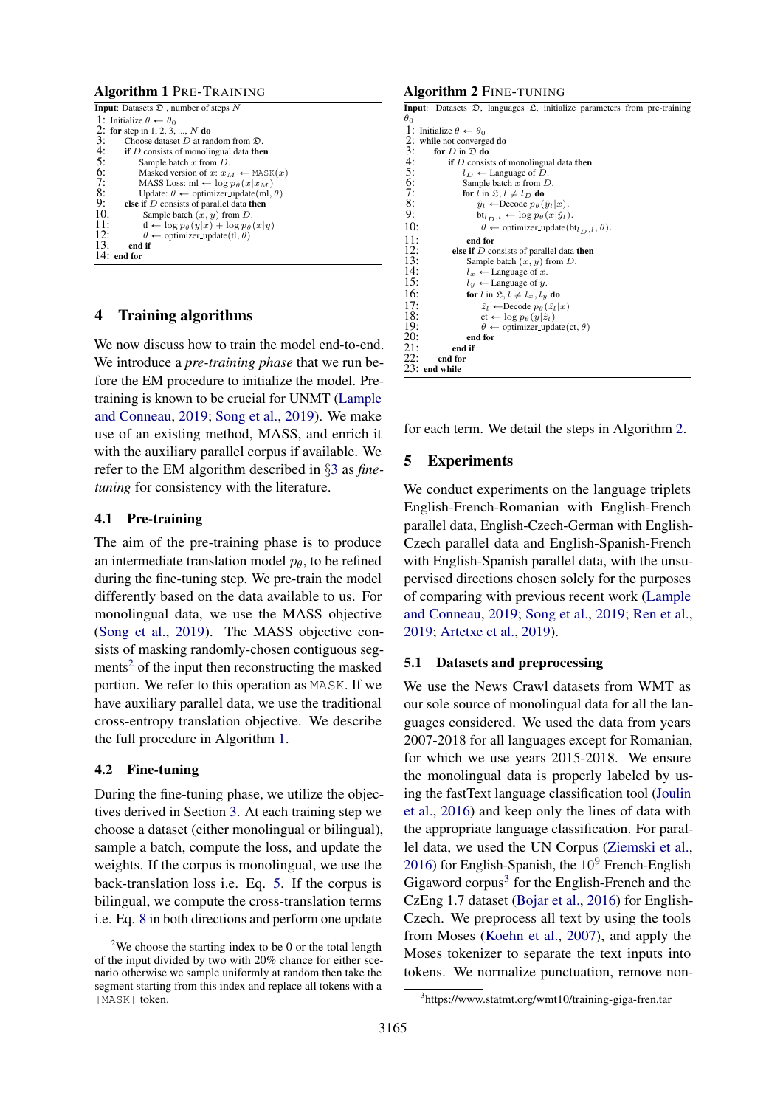<span id="page-5-1"></span>

## 4 Training algorithms

We now discuss how to train the model end-to-end. We introduce a *pre-training phase* that we run before the EM procedure to initialize the model. Pretraining is known to be crucial for UNMT [\(Lample](#page-9-4) [and Conneau,](#page-9-4) [2019;](#page-9-4) [Song et al.,](#page-10-3) [2019\)](#page-10-3). We make use of an existing method, MASS, and enrich it with the auxiliary parallel corpus if available. We refer to the EM algorithm described in §[3](#page-2-4) as *finetuning* for consistency with the literature.

## 4.1 Pre-training

The aim of the pre-training phase is to produce an intermediate translation model  $p_{\theta}$ , to be refined during the fine-tuning step. We pre-train the model differently based on the data available to us. For monolingual data, we use the MASS objective [\(Song et al.,](#page-10-3) [2019\)](#page-10-3). The MASS objective consists of masking randomly-chosen contiguous seg-ments<sup>[2](#page-5-0)</sup> of the input then reconstructing the masked portion. We refer to this operation as MASK. If we have auxiliary parallel data, we use the traditional cross-entropy translation objective. We describe the full procedure in Algorithm [1.](#page-5-1)

## 4.2 Fine-tuning

During the fine-tuning phase, we utilize the objectives derived in Section [3.](#page-2-4) At each training step we choose a dataset (either monolingual or bilingual), sample a batch, compute the loss, and update the weights. If the corpus is monolingual, we use the back-translation loss i.e. Eq. [5.](#page-3-3) If the corpus is bilingual, we compute the cross-translation terms i.e. Eq. [8](#page-4-2) in both directions and perform one update

#### <span id="page-5-2"></span>Algorithm 2 FINE-TUNING **Input:** Datasets  $\mathfrak{D}$ , languages  $\mathfrak{L}$ , initialize parameters from pre-training  $\theta_0$ 1: Initialize  $\theta \leftarrow \theta_0$ <br>2: while not converg<br>3: for *D* in  $\Omega$  d while not converged do 3: for D in  $\overline{2}$  do<br>4: if D consis<br>5:  $l_D \leftarrow 1$ if  $D$  consists of monolingual data then 5:  $l_D \leftarrow \text{Language of } \overline{D}$ <br>6: Sample batch x from *L* 6: Sample batch x from D.<br>
7: **for**  $l$  in  $\mathfrak{L}$ ,  $l \neq l_D$  **do**<br>
8:  $\hat{y}_l \leftarrow \text{Decode } p_\theta(\hat{y}_l)$ for  $l$  in  $\mathfrak{L}, l \neq l_D$  do 8:  $\hat{y}_l \leftarrow \text{Decode } p_\theta(\hat{y}_l|x)$ <br>9:  $\text{bt}_{l-1} \leftarrow \log p_\theta(x|\hat{y}_l)$ 9:  $bt_{l_D,l} \leftarrow \log p_\theta(x|\hat{y}_l).$ <br>10:  $\theta \leftarrow \text{ optimizer\_update}(b)$ 10:  $\theta \leftrightarrow \text{optimizer\_update}(\text{bt}_{l_D, l}, \theta)$ .<br>11: end for 11: end for<br>12: else if  $D$  co 12: **else if** *D* consists of parallel data then<br>
13: Sample batch  $(x, y)$  from *D*.<br>
14:  $l_x \leftarrow \text{Language of } x$ . Sample batch  $(x, y)$  from  $D$ . 14:  $l_x \leftarrow \text{Language of } x.$ <br>15:  $l_y \leftarrow \text{Language of } y.$ 15:  $l_y \leftarrow \text{Language of } y.$ <br>16: for  $l$  in  $\mathfrak{L}, l \neq l_x, l_y$ 16: for  $l$  in  $\mathfrak{L}, l \neq l_x, l_y$  do<br>17:  $\hat{z}_l \leftarrow \text{Decode } p_{\theta}(\hat{z}_l)$ 17:  $\hat{z}_l \leftarrow \text{Decode } p_{\theta}(\hat{z}_l|x)$ <br>
18:  $\text{ct} \leftarrow \log p_{\theta}(y|\hat{z}_l)$ <br>
19:  $\theta \leftarrow \text{primitive:update}($  $ct \leftarrow \log p_{\theta}(y|\hat{z}_l)$ 19:  $\theta \leftarrow \text{ optimizer\_update}(\text{ct}, \theta)$ <br>20: end for end for  $21:$  end if<br> $22:$  end for end for 23: end while

for each term. We detail the steps in Algorithm [2.](#page-5-2)

## 5 Experiments

We conduct experiments on the language triplets English-French-Romanian with English-French parallel data, English-Czech-German with English-Czech parallel data and English-Spanish-French with English-Spanish parallel data, with the unsupervised directions chosen solely for the purposes of comparing with previous recent work [\(Lample](#page-9-4) [and Conneau,](#page-9-4) [2019;](#page-9-4) [Song et al.,](#page-10-3) [2019;](#page-10-3) [Ren et al.,](#page-9-5) [2019;](#page-9-5) [Artetxe et al.,](#page-8-2) [2019\)](#page-8-2).

## 5.1 Datasets and preprocessing

We use the News Crawl datasets from WMT as our sole source of monolingual data for all the languages considered. We used the data from years 2007-2018 for all languages except for Romanian, for which we use years 2015-2018. We ensure the monolingual data is properly labeled by using the fastText language classification tool [\(Joulin](#page-9-15) [et al.,](#page-9-15) [2016\)](#page-9-15) and keep only the lines of data with the appropriate language classification. For parallel data, we used the UN Corpus [\(Ziemski et al.,](#page-10-8) [2016\)](#page-10-8) for English-Spanish, the  $10^9$  French-English Gigaword corpus<sup>[3](#page-5-3)</sup> for the English-French and the CzEng 1.7 dataset [\(Bojar et al.,](#page-9-16) [2016\)](#page-9-16) for English-Czech. We preprocess all text by using the tools from Moses [\(Koehn et al.,](#page-9-17) [2007\)](#page-9-17), and apply the Moses tokenizer to separate the text inputs into tokens. We normalize punctuation, remove non-

<span id="page-5-0"></span><sup>&</sup>lt;sup>2</sup>We choose the starting index to be 0 or the total length of the input divided by two with 20% chance for either scenario otherwise we sample uniformly at random then take the segment starting from this index and replace all tokens with a [MASK] token.

<span id="page-5-3"></span><sup>3</sup> https://www.statmt.org/wmt10/training-giga-fren.tar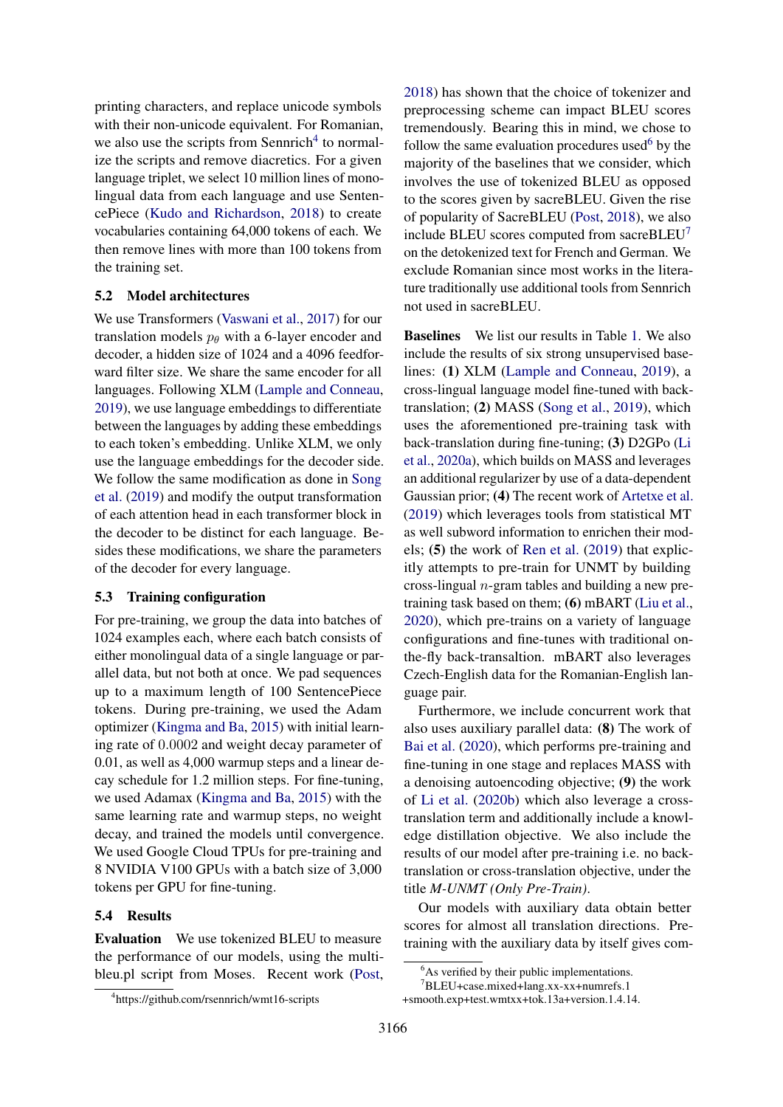printing characters, and replace unicode symbols with their non-unicode equivalent. For Romanian, we also use the scripts from Sennrich<sup>[4](#page-6-0)</sup> to normalize the scripts and remove diacretics. For a given language triplet, we select 10 million lines of monolingual data from each language and use SentencePiece [\(Kudo and Richardson,](#page-9-18) [2018\)](#page-9-18) to create vocabularies containing 64,000 tokens of each. We then remove lines with more than 100 tokens from the training set.

## 5.2 Model architectures

We use Transformers [\(Vaswani et al.,](#page-10-6) [2017\)](#page-10-6) for our translation models  $p_{\theta}$  with a 6-layer encoder and decoder, a hidden size of 1024 and a 4096 feedforward filter size. We share the same encoder for all languages. Following XLM [\(Lample and Conneau,](#page-9-4) [2019\)](#page-9-4), we use language embeddings to differentiate between the languages by adding these embeddings to each token's embedding. Unlike XLM, we only use the language embeddings for the decoder side. We follow the same modification as done in [Song](#page-10-3) [et al.](#page-10-3) [\(2019\)](#page-10-3) and modify the output transformation of each attention head in each transformer block in the decoder to be distinct for each language. Besides these modifications, we share the parameters of the decoder for every language.

## 5.3 Training configuration

For pre-training, we group the data into batches of 1024 examples each, where each batch consists of either monolingual data of a single language or parallel data, but not both at once. We pad sequences up to a maximum length of 100 SentencePiece tokens. During pre-training, we used the Adam optimizer [\(Kingma and Ba,](#page-9-19) [2015\)](#page-9-19) with initial learning rate of 0.0002 and weight decay parameter of 0.01, as well as 4,000 warmup steps and a linear decay schedule for 1.2 million steps. For fine-tuning, we used Adamax [\(Kingma and Ba,](#page-9-19) [2015\)](#page-9-19) with the same learning rate and warmup steps, no weight decay, and trained the models until convergence. We used Google Cloud TPUs for pre-training and 8 NVIDIA V100 GPUs with a batch size of 3,000 tokens per GPU for fine-tuning.

#### <span id="page-6-3"></span>5.4 Results

Evaluation We use tokenized BLEU to measure the performance of our models, using the multibleu.pl script from Moses. Recent work [\(Post,](#page-9-20) Baselines We list our results in Table [1.](#page-7-0) We also include the results of six strong unsupervised baselines: (1) XLM [\(Lample and Conneau,](#page-9-4) [2019\)](#page-9-4), a cross-lingual language model fine-tuned with backtranslation; (2) MASS [\(Song et al.,](#page-10-3) [2019\)](#page-10-3), which uses the aforementioned pre-training task with back-translation during fine-tuning; (3) D2GPo [\(Li](#page-9-6) [et al.,](#page-9-6) [2020a\)](#page-9-6), which builds on MASS and leverages an additional regularizer by use of a data-dependent Gaussian prior; (4) The recent work of [Artetxe et al.](#page-8-2) [\(2019\)](#page-8-2) which leverages tools from statistical MT as well subword information to enrichen their models; (5) the work of [Ren et al.](#page-9-5) [\(2019\)](#page-9-5) that explicitly attempts to pre-train for UNMT by building cross-lingual  $n$ -gram tables and building a new pretraining task based on them; (6) mBART [\(Liu et al.,](#page-9-21) [2020\)](#page-9-21), which pre-trains on a variety of language configurations and fine-tunes with traditional onthe-fly back-transaltion. mBART also leverages Czech-English data for the Romanian-English language pair.

Furthermore, we include concurrent work that also uses auxiliary parallel data: (8) The work of [Bai et al.](#page-8-6) [\(2020\)](#page-8-6), which performs pre-training and fine-tuning in one stage and replaces MASS with a denoising autoencoding objective; (9) the work of [Li et al.](#page-9-22) [\(2020b\)](#page-9-22) which also leverage a crosstranslation term and additionally include a knowledge distillation objective. We also include the results of our model after pre-training i.e. no backtranslation or cross-translation objective, under the title *M-UNMT (Only Pre-Train)*.

Our models with auxiliary data obtain better scores for almost all translation directions. Pretraining with the auxiliary data by itself gives com-

<sup>7</sup>BLEU+case.mixed+lang.xx-xx+numrefs.1 +smooth.exp+test.wmtxx+tok.13a+version.1.4.14.

[<sup>2018\)</sup>](#page-9-20) has shown that the choice of tokenizer and preprocessing scheme can impact BLEU scores tremendously. Bearing this in mind, we chose to follow the same evaluation procedures used $6$  by the majority of the baselines that we consider, which involves the use of tokenized BLEU as opposed to the scores given by sacreBLEU. Given the rise of popularity of SacreBLEU [\(Post,](#page-9-20) [2018\)](#page-9-20), we also include BLEU scores computed from sacreBLEU $<sup>7</sup>$  $<sup>7</sup>$  $<sup>7</sup>$ </sup> on the detokenized text for French and German. We exclude Romanian since most works in the literature traditionally use additional tools from Sennrich not used in sacreBLEU.

<span id="page-6-2"></span><span id="page-6-1"></span> $6$ As verified by their public implementations.

<span id="page-6-0"></span><sup>4</sup> https://github.com/rsennrich/wmt16-scripts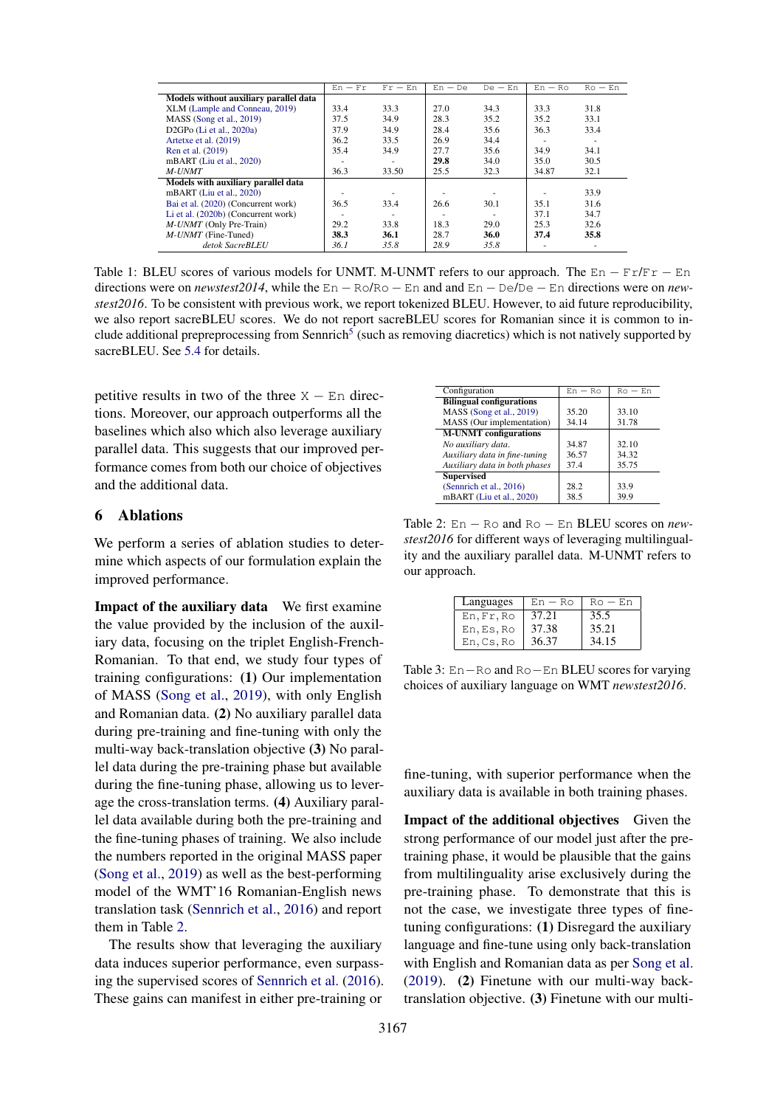<span id="page-7-0"></span>

|                                        | $En - Fr$ | $Fr - En$ | $En - De$ | $De$ – $En$              | $En - Ro$ | $Ro$ – $En$              |
|----------------------------------------|-----------|-----------|-----------|--------------------------|-----------|--------------------------|
| Models without auxiliary parallel data |           |           |           |                          |           |                          |
| XLM (Lample and Conneau, 2019)         | 33.4      | 33.3      | 27.0      | 34.3                     | 33.3      | 31.8                     |
| $MASS$ (Song et al., 2019)             | 37.5      | 34.9      | 28.3      | 35.2                     | 35.2      | 33.1                     |
| D2GPo $(Li$ et al., 2020a)             | 37.9      | 34.9      | 28.4      | 35.6                     | 36.3      | 33.4                     |
| Artetxe et al. (2019)                  | 36.2      | 33.5      | 26.9      | 34.4                     |           |                          |
| Ren et al. (2019)                      | 35.4      | 34.9      | 27.7      | 35.6                     | 34.9      | 34.1                     |
| mBART (Liu et al., 2020)               |           |           | 29.8      | 34.0                     | 35.0      | 30.5                     |
| M-UNMT                                 | 36.3      | 33.50     | 25.5      | 32.3                     | 34.87     | 32.1                     |
| Models with auxiliary parallel data    |           |           |           |                          |           |                          |
| mBART (Liu et al., 2020)               |           |           |           |                          |           | 33.9                     |
| Bai et al. (2020) (Concurrent work)    | 36.5      | 33.4      | 26.6      | 30.1                     | 35.1      | 31.6                     |
| Li et al. (2020b) (Concurrent work)    |           |           |           | $\overline{\phantom{a}}$ | 37.1      | 34.7                     |
| <i>M-UNMT</i> (Only Pre-Train)         | 29.2      | 33.8      | 18.3      | 29.0                     | 25.3      | 32.6                     |
| $M$ - <i>UNMT</i> (Fine-Tuned)         | 38.3      | 36.1      | 28.7      | 36.0                     | 37.4      | 35.8                     |
| detok SacreBLEU                        | 36.1      | 35.8      | 28.9      | 35.8                     |           | $\overline{\phantom{a}}$ |

Table 1: BLEU scores of various models for UNMT. M-UNMT refers to our approach. The  $En - Fr/Fr - En$ directions were on *newstest2014*, while the  $En - RO/Ro - En$  and and  $En - De/De - En$  directions were on *newstest2016*. To be consistent with previous work, we report tokenized BLEU. However, to aid future reproducibility, we also report sacreBLEU scores. We do not report sacreBLEU scores for Romanian since it is common to in-clude additional prepreprocessing from Sennrich<sup>[5](#page-0-3)</sup> (such as removing diacretics) which is not natively supported by sacreBLEU. See [5.4](#page-6-3) for details.

petitive results in two of the three  $X - En$  directions. Moreover, our approach outperforms all the baselines which also which also leverage auxiliary parallel data. This suggests that our improved performance comes from both our choice of objectives and the additional data.

## 6 Ablations

We perform a series of ablation studies to determine which aspects of our formulation explain the improved performance.

Impact of the auxiliary data We first examine the value provided by the inclusion of the auxiliary data, focusing on the triplet English-French-Romanian. To that end, we study four types of training configurations: (1) Our implementation of MASS [\(Song et al.,](#page-10-3) [2019\)](#page-10-3), with only English and Romanian data. (2) No auxiliary parallel data during pre-training and fine-tuning with only the multi-way back-translation objective (3) No parallel data during the pre-training phase but available during the fine-tuning phase, allowing us to leverage the cross-translation terms. (4) Auxiliary parallel data available during both the pre-training and the fine-tuning phases of training. We also include the numbers reported in the original MASS paper [\(Song et al.,](#page-10-3) [2019\)](#page-10-3) as well as the best-performing model of the WMT'16 Romanian-English news translation task [\(Sennrich et al.,](#page-10-7) [2016\)](#page-10-7) and report them in Table [2.](#page-7-1)

The results show that leveraging the auxiliary data induces superior performance, even surpassing the supervised scores of [Sennrich et al.](#page-10-7) [\(2016\)](#page-10-7). These gains can manifest in either pre-training or

<span id="page-7-1"></span>

| Configuration                   | $En - Ro$ | $Ro$ – $En$ |
|---------------------------------|-----------|-------------|
| <b>Bilingual configurations</b> |           |             |
| MASS (Song et al., 2019)        | 35.20     | 33.10       |
| MASS (Our implementation)       | 34.14     | 31.78       |
| <b>M-UNMT</b> configurations    |           |             |
| No auxiliary data.              | 34.87     | 32.10       |
| Auxiliary data in fine-tuning   | 36.57     | 34.32       |
| Auxiliary data in both phases   | 37.4      | 35.75       |
| <b>Supervised</b>               |           |             |
| (Sennrich et al., 2016)         | 28.2      | 33.9        |
| mBART (Liu et al., 2020)        | 38.5      | 39.9        |

Table 2:  $En - Ro$  and  $Ro - En$  BLEU scores on *newstest2016* for different ways of leveraging multilinguality and the auxiliary parallel data. M-UNMT refers to our approach.

<span id="page-7-2"></span>

| Languages  | $En - Ro$ | $R_O - En$ |
|------------|-----------|------------|
| En, Fr, Ro | 37.21     | 35.5       |
| En, Es, Ro | 37.38     | 35.21      |
| En.Cs.Ro   | 36.37     | 34.15      |

Table 3:  $En - Ro$  and  $Ro - En$  BLEU scores for varying choices of auxiliary language on WMT *newstest2016*.

fine-tuning, with superior performance when the auxiliary data is available in both training phases.

Impact of the additional objectives Given the strong performance of our model just after the pretraining phase, it would be plausible that the gains from multilinguality arise exclusively during the pre-training phase. To demonstrate that this is not the case, we investigate three types of finetuning configurations: (1) Disregard the auxiliary language and fine-tune using only back-translation with English and Romanian data as per [Song et al.](#page-10-3) [\(2019\)](#page-10-3). (2) Finetune with our multi-way backtranslation objective. (3) Finetune with our multi-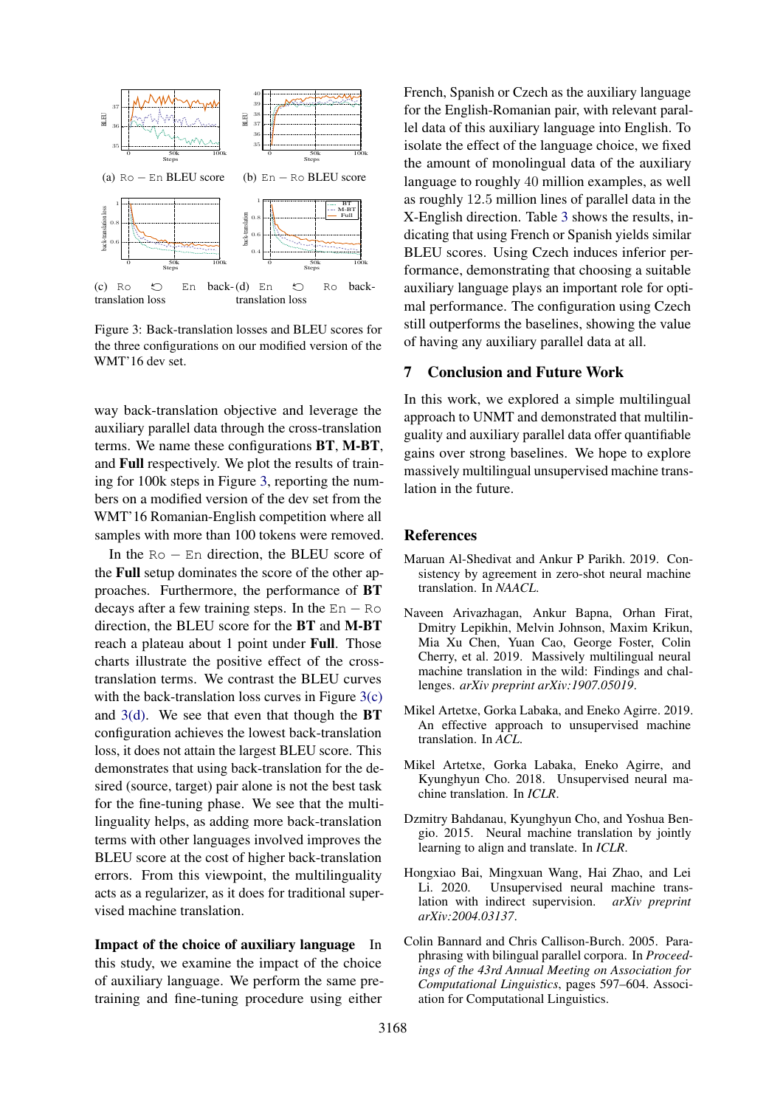<span id="page-8-8"></span><span id="page-8-7"></span>

<span id="page-8-9"></span>Figure 3: Back-translation losses and BLEU scores for the three configurations on our modified version of the WMT'16 dev set.

way back-translation objective and leverage the auxiliary parallel data through the cross-translation terms. We name these configurations BT, M-BT, and Full respectively. We plot the results of training for 100k steps in Figure [3,](#page-8-7) reporting the numbers on a modified version of the dev set from the WMT'16 Romanian-English competition where all samples with more than 100 tokens were removed.

In the  $Ro$  – En direction, the BLEU score of the Full setup dominates the score of the other approaches. Furthermore, the performance of BT decays after a few training steps. In the  $En - Ro$ direction, the BLEU score for the BT and M-BT reach a plateau about 1 point under Full. Those charts illustrate the positive effect of the crosstranslation terms. We contrast the BLEU curves with the back-translation loss curves in Figure  $3(c)$ and  $3(d)$ . We see that even that though the **BT** configuration achieves the lowest back-translation loss, it does not attain the largest BLEU score. This demonstrates that using back-translation for the desired (source, target) pair alone is not the best task for the fine-tuning phase. We see that the multilinguality helps, as adding more back-translation terms with other languages involved improves the BLEU score at the cost of higher back-translation errors. From this viewpoint, the multilinguality acts as a regularizer, as it does for traditional supervised machine translation.

Impact of the choice of auxiliary language In this study, we examine the impact of the choice of auxiliary language. We perform the same pretraining and fine-tuning procedure using either French, Spanish or Czech as the auxiliary language for the English-Romanian pair, with relevant parallel data of this auxiliary language into English. To isolate the effect of the language choice, we fixed the amount of monolingual data of the auxiliary language to roughly 40 million examples, as well as roughly 12.5 million lines of parallel data in the X-English direction. Table [3](#page-7-2) shows the results, indicating that using French or Spanish yields similar BLEU scores. Using Czech induces inferior performance, demonstrating that choosing a suitable auxiliary language plays an important role for optimal performance. The configuration using Czech still outperforms the baselines, showing the value of having any auxiliary parallel data at all.

## 7 Conclusion and Future Work

In this work, we explored a simple multilingual approach to UNMT and demonstrated that multilinguality and auxiliary parallel data offer quantifiable gains over strong baselines. We hope to explore massively multilingual unsupervised machine translation in the future.

#### References

- <span id="page-8-5"></span>Maruan Al-Shedivat and Ankur P Parikh. 2019. Consistency by agreement in zero-shot neural machine translation. In *NAACL*.
- <span id="page-8-4"></span>Naveen Arivazhagan, Ankur Bapna, Orhan Firat, Dmitry Lepikhin, Melvin Johnson, Maxim Krikun, Mia Xu Chen, Yuan Cao, George Foster, Colin Cherry, et al. 2019. Massively multilingual neural machine translation in the wild: Findings and challenges. *arXiv preprint arXiv:1907.05019*.
- <span id="page-8-2"></span>Mikel Artetxe, Gorka Labaka, and Eneko Agirre. 2019. An effective approach to unsupervised machine translation. In *ACL*.
- <span id="page-8-1"></span>Mikel Artetxe, Gorka Labaka, Eneko Agirre, and Kyunghyun Cho. 2018. Unsupervised neural machine translation. In *ICLR*.
- <span id="page-8-0"></span>Dzmitry Bahdanau, Kyunghyun Cho, and Yoshua Bengio. 2015. Neural machine translation by jointly learning to align and translate. In *ICLR*.
- <span id="page-8-6"></span>Hongxiao Bai, Mingxuan Wang, Hai Zhao, and Lei Li. 2020. Unsupervised neural machine translation with indirect supervision. *arXiv preprint arXiv:2004.03137*.
- <span id="page-8-3"></span>Colin Bannard and Chris Callison-Burch. 2005. Paraphrasing with bilingual parallel corpora. In *Proceedings of the 43rd Annual Meeting on Association for Computational Linguistics*, pages 597–604. Association for Computational Linguistics.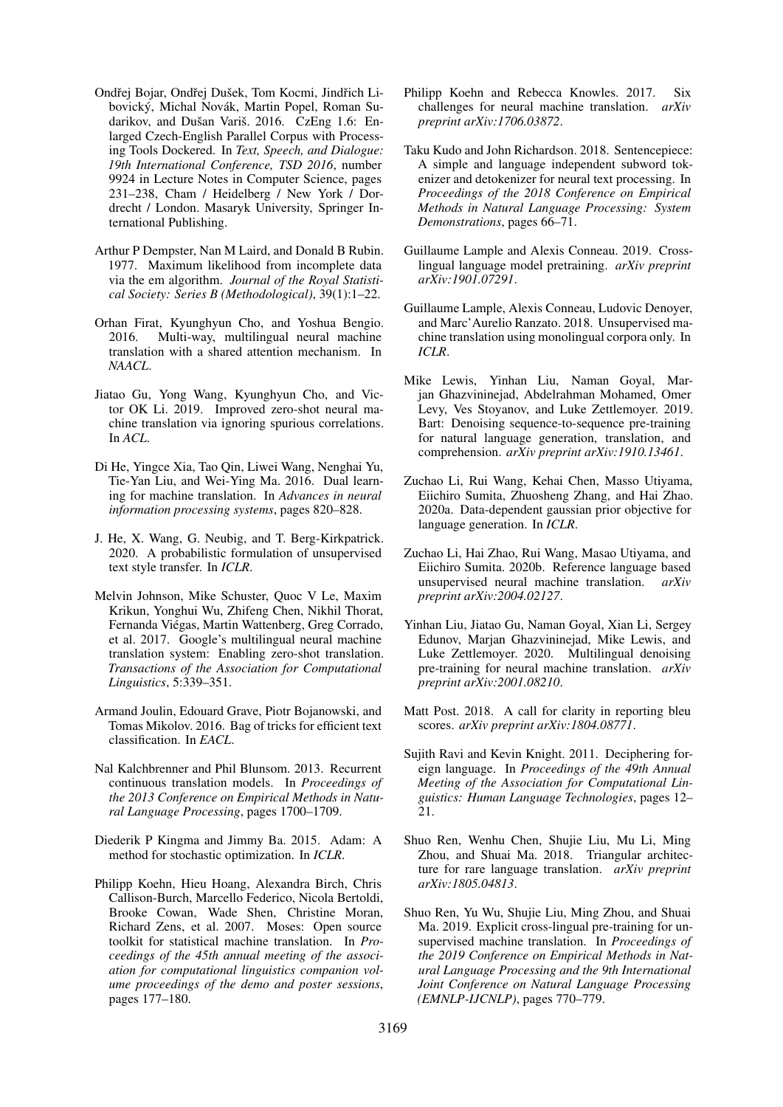- <span id="page-9-16"></span>Ondřej Bojar, Ondřej Dušek, Tom Kocmi, Jindřich Libovický, Michal Novák, Martin Popel, Roman Sudarikov, and Dušan Variš. 2016. CzEng 1.6: Enlarged Czech-English Parallel Corpus with Processing Tools Dockered. In *Text, Speech, and Dialogue: 19th International Conference, TSD 2016*, number 9924 in Lecture Notes in Computer Science, pages 231–238, Cham / Heidelberg / New York / Dordrecht / London. Masaryk University, Springer International Publishing.
- <span id="page-9-12"></span>Arthur P Dempster, Nan M Laird, and Donald B Rubin. 1977. Maximum likelihood from incomplete data via the em algorithm. *Journal of the Royal Statistical Society: Series B (Methodological)*, 39(1):1–22.
- <span id="page-9-9"></span>Orhan Firat, Kyunghyun Cho, and Yoshua Bengio. 2016. Multi-way, multilingual neural machine translation with a shared attention mechanism. In *NAACL*.
- <span id="page-9-10"></span>Jiatao Gu, Yong Wang, Kyunghyun Cho, and Victor OK Li. 2019. Improved zero-shot neural machine translation via ignoring spurious correlations. In *ACL*.
- <span id="page-9-7"></span>Di He, Yingce Xia, Tao Qin, Liwei Wang, Nenghai Yu, Tie-Yan Liu, and Wei-Ying Ma. 2016. Dual learning for machine translation. In *Advances in neural information processing systems*, pages 820–828.
- <span id="page-9-11"></span>J. He, X. Wang, G. Neubig, and T. Berg-Kirkpatrick. 2020. A probabilistic formulation of unsupervised text style transfer. In *ICLR*.
- <span id="page-9-8"></span>Melvin Johnson, Mike Schuster, Quoc V Le, Maxim Krikun, Yonghui Wu, Zhifeng Chen, Nikhil Thorat, Fernanda Viegas, Martin Wattenberg, Greg Corrado, ´ et al. 2017. Google's multilingual neural machine translation system: Enabling zero-shot translation. *Transactions of the Association for Computational Linguistics*, 5:339–351.
- <span id="page-9-15"></span>Armand Joulin, Edouard Grave, Piotr Bojanowski, and Tomas Mikolov. 2016. Bag of tricks for efficient text classification. In *EACL*.
- <span id="page-9-0"></span>Nal Kalchbrenner and Phil Blunsom. 2013. Recurrent continuous translation models. In *Proceedings of the 2013 Conference on Empirical Methods in Natural Language Processing*, pages 1700–1709.
- <span id="page-9-19"></span>Diederik P Kingma and Jimmy Ba. 2015. Adam: A method for stochastic optimization. In *ICLR*.
- <span id="page-9-17"></span>Philipp Koehn, Hieu Hoang, Alexandra Birch, Chris Callison-Burch, Marcello Federico, Nicola Bertoldi, Brooke Cowan, Wade Shen, Christine Moran, Richard Zens, et al. 2007. Moses: Open source toolkit for statistical machine translation. In *Proceedings of the 45th annual meeting of the association for computational linguistics companion volume proceedings of the demo and poster sessions*, pages 177–180.
- <span id="page-9-1"></span>Philipp Koehn and Rebecca Knowles. 2017. Six challenges for neural machine translation. *arXiv preprint arXiv:1706.03872*.
- <span id="page-9-18"></span>Taku Kudo and John Richardson. 2018. Sentencepiece: A simple and language independent subword tokenizer and detokenizer for neural text processing. In *Proceedings of the 2018 Conference on Empirical Methods in Natural Language Processing: System Demonstrations*, pages 66–71.
- <span id="page-9-4"></span>Guillaume Lample and Alexis Conneau. 2019. Crosslingual language model pretraining. *arXiv preprint arXiv:1901.07291*.
- <span id="page-9-3"></span>Guillaume Lample, Alexis Conneau, Ludovic Denoyer, and Marc'Aurelio Ranzato. 2018. Unsupervised machine translation using monolingual corpora only. In *ICLR*.
- <span id="page-9-13"></span>Mike Lewis, Yinhan Liu, Naman Goyal, Marjan Ghazvininejad, Abdelrahman Mohamed, Omer Levy, Ves Stoyanov, and Luke Zettlemoyer. 2019. Bart: Denoising sequence-to-sequence pre-training for natural language generation, translation, and comprehension. *arXiv preprint arXiv:1910.13461*.
- <span id="page-9-6"></span>Zuchao Li, Rui Wang, Kehai Chen, Masso Utiyama, Eiichiro Sumita, Zhuosheng Zhang, and Hai Zhao. 2020a. Data-dependent gaussian prior objective for language generation. In *ICLR*.
- <span id="page-9-22"></span>Zuchao Li, Hai Zhao, Rui Wang, Masao Utiyama, and Eiichiro Sumita. 2020b. Reference language based unsupervised neural machine translation. *arXiv preprint arXiv:2004.02127*.
- <span id="page-9-21"></span>Yinhan Liu, Jiatao Gu, Naman Goyal, Xian Li, Sergey Edunov, Marjan Ghazvininejad, Mike Lewis, and Luke Zettlemoyer. 2020. Multilingual denoising pre-training for neural machine translation. *arXiv preprint arXiv:2001.08210*.
- <span id="page-9-20"></span>Matt Post. 2018. A call for clarity in reporting bleu scores. *arXiv preprint arXiv:1804.08771*.
- <span id="page-9-2"></span>Sujith Ravi and Kevin Knight. 2011. Deciphering foreign language. In *Proceedings of the 49th Annual Meeting of the Association for Computational Linguistics: Human Language Technologies*, pages 12– 21.
- <span id="page-9-14"></span>Shuo Ren, Wenhu Chen, Shujie Liu, Mu Li, Ming Zhou, and Shuai Ma. 2018. Triangular architecture for rare language translation. *arXiv preprint arXiv:1805.04813*.
- <span id="page-9-5"></span>Shuo Ren, Yu Wu, Shujie Liu, Ming Zhou, and Shuai Ma. 2019. Explicit cross-lingual pre-training for unsupervised machine translation. In *Proceedings of the 2019 Conference on Empirical Methods in Natural Language Processing and the 9th International Joint Conference on Natural Language Processing (EMNLP-IJCNLP)*, pages 770–779.